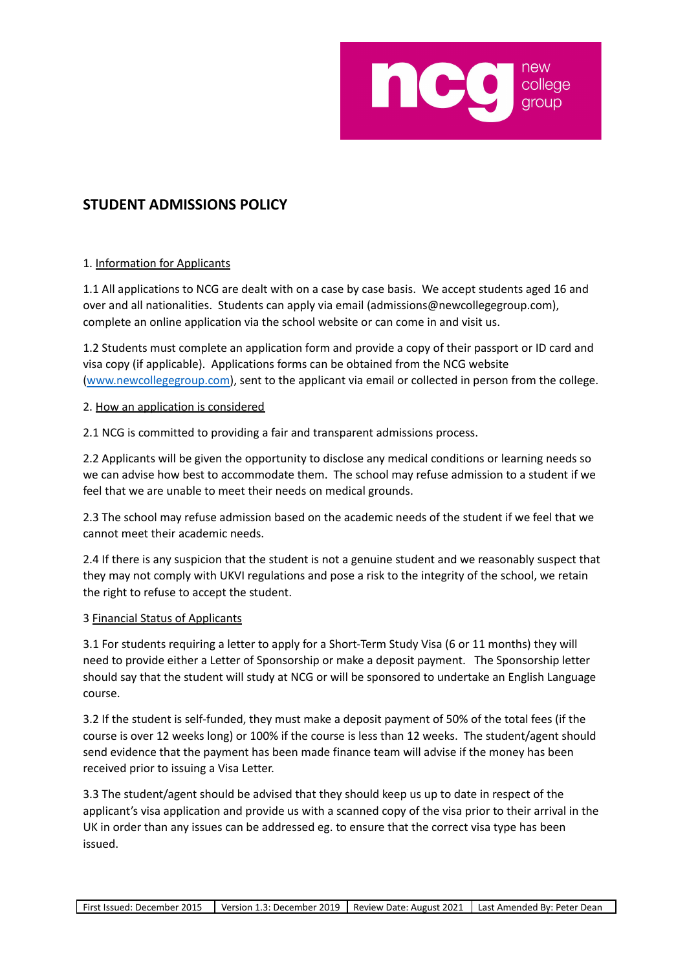

# **STUDENT ADMISSIONS POLICY**

# 1. Information for Applicants

1.1 All applications to NCG are dealt with on a case by case basis. We accept students aged 16 and over and all nationalities. Students can apply via email (admissions@newcollegegroup.com), complete an online application via the school website or can come in and visit us.

1.2 Students must complete an application form and provide a copy of their passport or ID card and visa copy (if applicable). Applications forms can be obtained from the NCG website [\(www.newcollegegroup.com\)](http://www.newcollegegroup.com), sent to the applicant via email or collected in person from the college.

# 2. How an application is considered

2.1 NCG is committed to providing a fair and transparent admissions process.

2.2 Applicants will be given the opportunity to disclose any medical conditions or learning needs so we can advise how best to accommodate them. The school may refuse admission to a student if we feel that we are unable to meet their needs on medical grounds.

2.3 The school may refuse admission based on the academic needs of the student if we feel that we cannot meet their academic needs.

2.4 If there is any suspicion that the student is not a genuine student and we reasonably suspect that they may not comply with UKVI regulations and pose a risk to the integrity of the school, we retain the right to refuse to accept the student.

### 3 Financial Status of Applicants

3.1 For students requiring a letter to apply for a Short-Term Study Visa (6 or 11 months) they will need to provide either a Letter of Sponsorship or make a deposit payment. The Sponsorship letter should say that the student will study at NCG or will be sponsored to undertake an English Language course.

3.2 If the student is self-funded, they must make a deposit payment of 50% of the total fees (if the course is over 12 weeks long) or 100% if the course is less than 12 weeks. The student/agent should send evidence that the payment has been made finance team will advise if the money has been received prior to issuing a Visa Letter.

3.3 The student/agent should be advised that they should keep us up to date in respect of the applicant's visa application and provide us with a scanned copy of the visa prior to their arrival in the UK in order than any issues can be addressed eg. to ensure that the correct visa type has been issued.